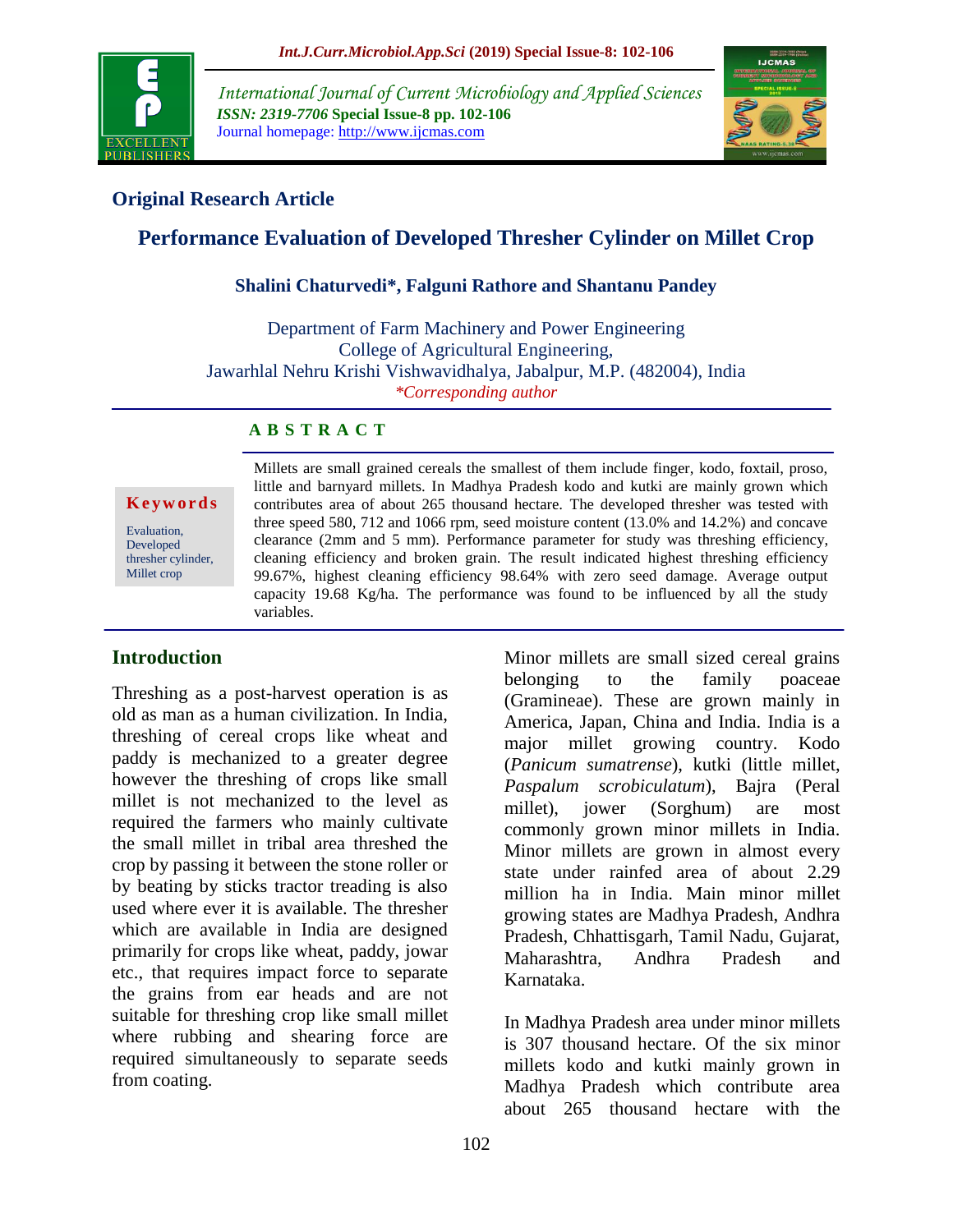

*International Journal of Current Microbiology and Applied Sciences ISSN: 2319-7706* **Special Issue-8 pp. 102-106** Journal homepage: http://www.ijcmas.com



# **Original Research Article**

# **Performance Evaluation of Developed Thresher Cylinder on Millet Crop**

### **Shalini Chaturvedi\*, Falguni Rathore and Shantanu Pandey**

Department of Farm Machinery and Power Engineering College of Agricultural Engineering, Jawarhlal Nehru Krishi Vishwavidhalya, Jabalpur, M.P. (482004), India *\*Corresponding author*

### **A B S T R A C T**

#### **K e y w o r d s**

Evaluation, Developed thresher cylinder, Millet crop

Millets are small grained cereals the smallest of them include finger, kodo, foxtail, proso, little and barnyard millets. In Madhya Pradesh kodo and kutki are mainly grown which contributes area of about 265 thousand hectare. The developed thresher was tested with three speed 580, 712 and 1066 rpm, seed moisture content (13.0% and 14.2%) and concave clearance (2mm and 5 mm). Performance parameter for study was threshing efficiency, cleaning efficiency and broken grain. The result indicated highest threshing efficiency 99.67%, highest cleaning efficiency 98.64% with zero seed damage. Average output capacity 19.68 Kg/ha. The performance was found to be influenced by all the study variables.

## **Introduction**

Threshing as a post-harvest operation is as old as man as a human civilization. In India, threshing of cereal crops like wheat and paddy is mechanized to a greater degree however the threshing of crops like small millet is not mechanized to the level as required the farmers who mainly cultivate the small millet in tribal area threshed the crop by passing it between the stone roller or by beating by sticks tractor treading is also used where ever it is available. The thresher which are available in India are designed primarily for crops like wheat, paddy, jowar etc., that requires impact force to separate the grains from ear heads and are not suitable for threshing crop like small millet where rubbing and shearing force are required simultaneously to separate seeds from coating.

Minor millets are small sized cereal grains belonging to the family poaceae (Gramineae). These are grown mainly in America, Japan, China and India. India is a major millet growing country. Kodo (*Panicum sumatrense*), kutki (little millet, *Paspalum scrobiculatum*), Bajra (Peral millet), jower (Sorghum) are most commonly grown minor millets in India. Minor millets are grown in almost every state under rainfed area of about 2.29 million ha in India. Main minor millet growing states are Madhya Pradesh, Andhra Pradesh, Chhattisgarh, Tamil Nadu, Gujarat, Maharashtra, Andhra Pradesh and Karnataka.

In Madhya Pradesh area under minor millets is 307 thousand hectare. Of the six minor millets kodo and kutki mainly grown in Madhya Pradesh which contribute area about 265 thousand hectare with the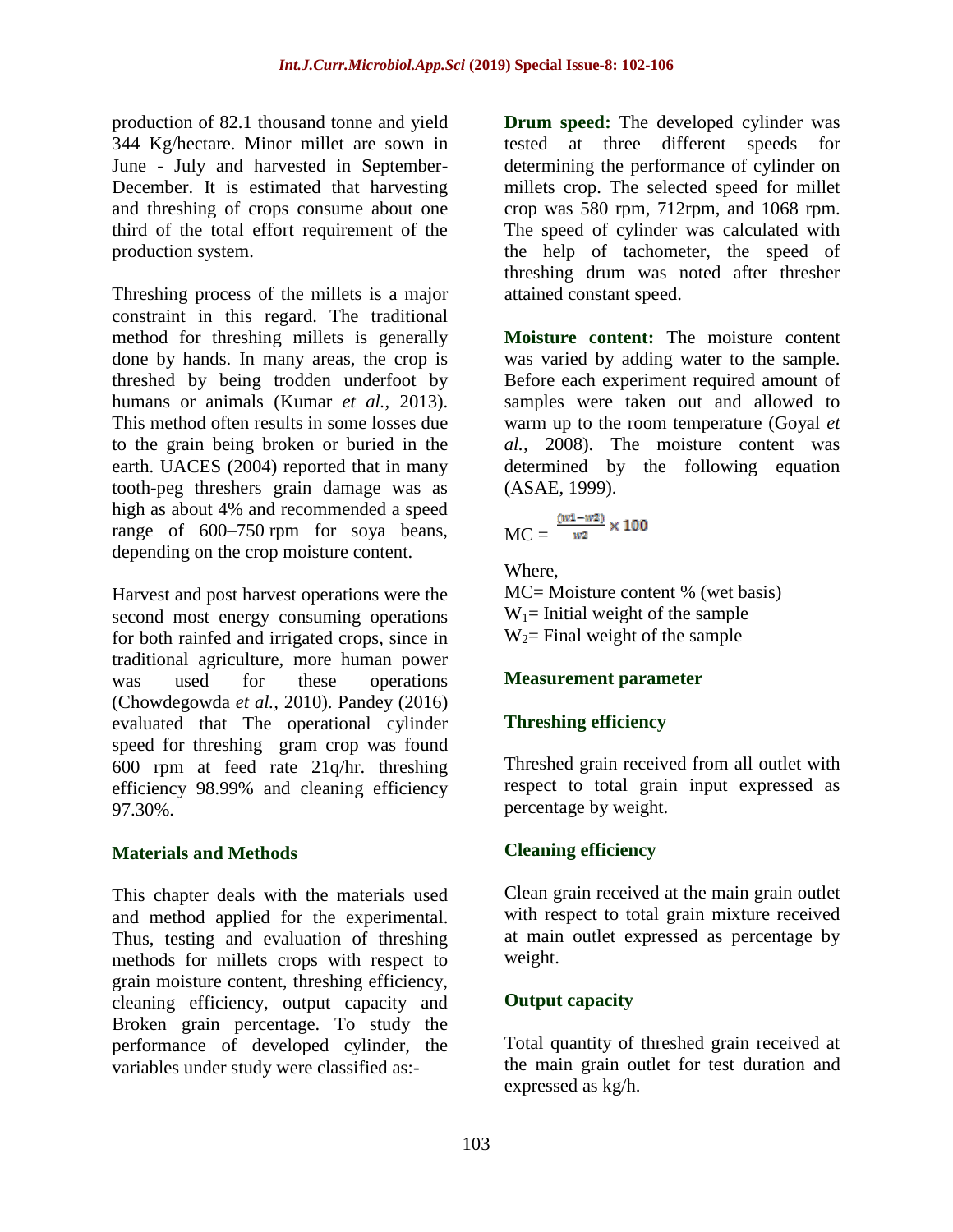production of 82.1 thousand tonne and yield 344 Kg/hectare. Minor millet are sown in June - July and harvested in September-December. It is estimated that harvesting and threshing of crops consume about one third of the total effort requirement of the production system.

Threshing process of the millets is a major constraint in this regard. The traditional method for threshing millets is generally done by hands. In many areas, the crop is threshed by being trodden underfoot by humans or animals (Kumar *et al.*, 2013). This method often results in some losses due to the grain being broken or buried in the earth. UACES (2004) reported that in many tooth-peg threshers grain damage was as high as about 4% and recommended a speed range of 600–750 rpm for soya beans, depending on the crop moisture content.

Harvest and post harvest operations were the second most energy consuming operations for both rainfed and irrigated crops, since in traditional agriculture, more human power was used for these operations (Chowdegowda *et al.,* 2010). Pandey (2016) evaluated that The operational cylinder speed for threshing gram crop was found 600 rpm at feed rate 21q/hr. threshing efficiency 98.99% and cleaning efficiency 97.30%.

## **Materials and Methods**

This chapter deals with the materials used and method applied for the experimental. Thus, testing and evaluation of threshing methods for millets crops with respect to grain moisture content, threshing efficiency, cleaning efficiency, output capacity and Broken grain percentage. To study the performance of developed cylinder, the variables under study were classified as:-

**Drum speed:** The developed cylinder was tested at three different speeds for determining the performance of cylinder on millets crop. The selected speed for millet crop was 580 rpm, 712rpm, and 1068 rpm. The speed of cylinder was calculated with the help of tachometer, the speed of threshing drum was noted after thresher attained constant speed.

**Moisture content:** The moisture content was varied by adding water to the sample. Before each experiment required amount of samples were taken out and allowed to warm up to the room temperature (Goyal *et al.,* 2008). The moisture content was determined by the following equation (ASAE, 1999).

$$
MC = \frac{\frac{(w1-w2)}{w2} \times 100}{}
$$

Where,

MC= Moisture content % (wet basis)  $W_1$ = Initial weight of the sample  $W_2$ = Final weight of the sample

## **Measurement parameter**

# **Threshing efficiency**

Threshed grain received from all outlet with respect to total grain input expressed as percentage by weight.

# **Cleaning efficiency**

Clean grain received at the main grain outlet with respect to total grain mixture received at main outlet expressed as percentage by weight.

# **Output capacity**

Total quantity of threshed grain received at the main grain outlet for test duration and expressed as kg/h.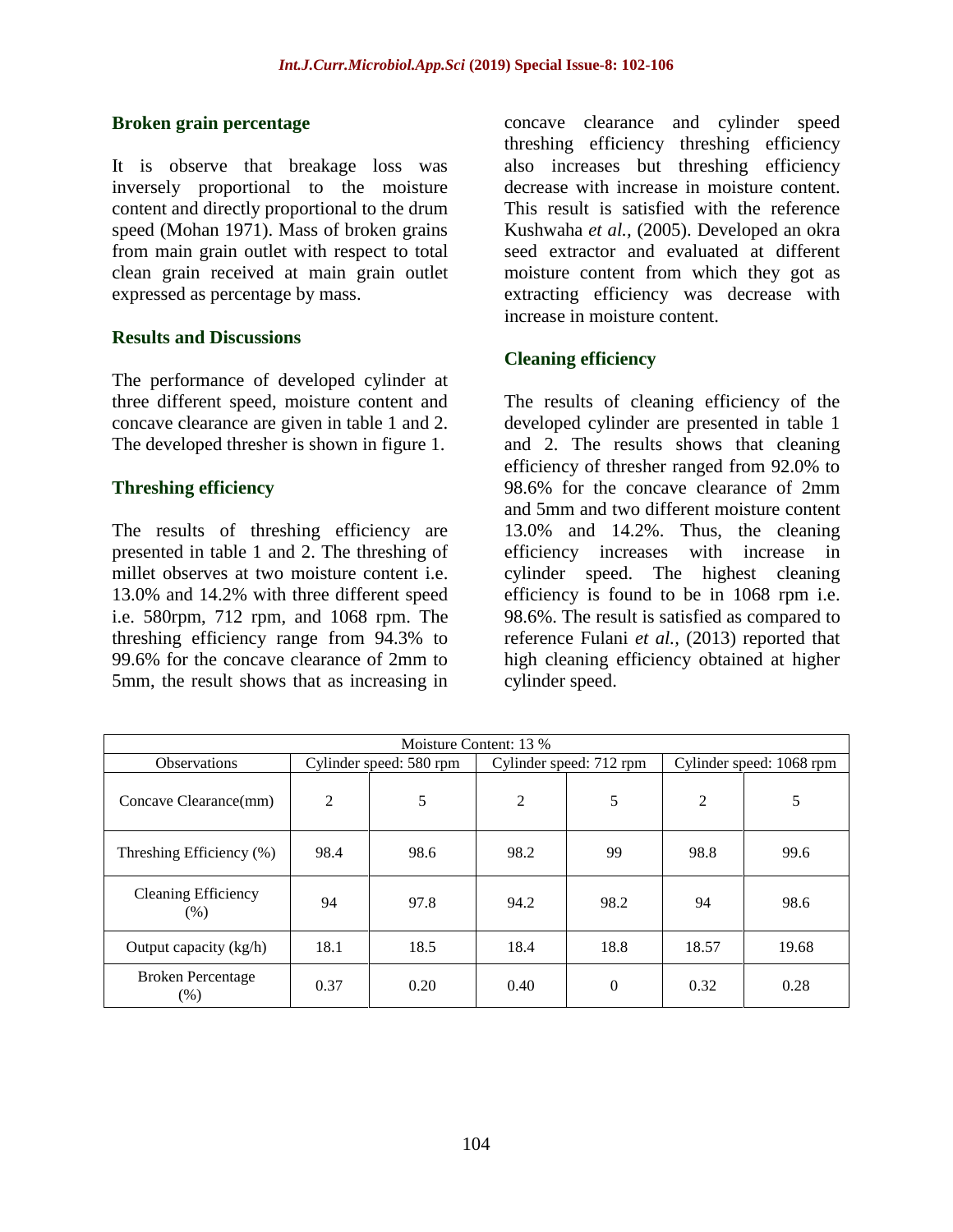### **Broken grain percentage**

It is observe that breakage loss was inversely proportional to the moisture content and directly proportional to the drum speed (Mohan 1971). Mass of broken grains from main grain outlet with respect to total clean grain received at main grain outlet expressed as percentage by mass.

### **Results and Discussions**

The performance of developed cylinder at three different speed, moisture content and concave clearance are given in table 1 and 2. The developed thresher is shown in figure 1.

### **Threshing efficiency**

The results of threshing efficiency are presented in table 1 and 2. The threshing of millet observes at two moisture content i.e. 13.0% and 14.2% with three different speed i.e. 580rpm, 712 rpm, and 1068 rpm. The threshing efficiency range from 94.3% to 99.6% for the concave clearance of 2mm to 5mm, the result shows that as increasing in

concave clearance and cylinder speed threshing efficiency threshing efficiency also increases but threshing efficiency decrease with increase in moisture content. This result is satisfied with the reference Kushwaha *et al.,* (2005). Developed an okra seed extractor and evaluated at different moisture content from which they got as extracting efficiency was decrease with increase in moisture content.

## **Cleaning efficiency**

The results of cleaning efficiency of the developed cylinder are presented in table 1 and 2. The results shows that cleaning efficiency of thresher ranged from 92.0% to 98.6% for the concave clearance of 2mm and 5mm and two different moisture content 13.0% and 14.2%. Thus, the cleaning efficiency increases with increase in cylinder speed. The highest cleaning efficiency is found to be in 1068 rpm i.e. 98.6%. The result is satisfied as compared to reference Fulani *et al.,* (2013) reported that high cleaning efficiency obtained at higher cylinder speed.

| Moisture Content: 13 %               |                         |      |                         |                |                          |       |  |  |  |  |
|--------------------------------------|-------------------------|------|-------------------------|----------------|--------------------------|-------|--|--|--|--|
| <b>Observations</b>                  | Cylinder speed: 580 rpm |      | Cylinder speed: 712 rpm |                | Cylinder speed: 1068 rpm |       |  |  |  |  |
| Concave Clearance(mm)                | 2                       | 5    | $\overline{2}$          | 5              | 2                        | 5     |  |  |  |  |
| Threshing Efficiency (%)             | 98.4                    | 98.6 | 98.2                    | 99             | 98.8                     | 99.6  |  |  |  |  |
| <b>Cleaning Efficiency</b><br>$(\%)$ | 94                      | 97.8 | 94.2                    | 98.2           | 94                       | 98.6  |  |  |  |  |
| Output capacity (kg/h)               | 18.1                    | 18.5 | 18.4                    | 18.8           | 18.57                    | 19.68 |  |  |  |  |
| <b>Broken Percentage</b><br>(% )     | 0.37                    | 0.20 | 0.40                    | $\overline{0}$ | 0.32                     | 0.28  |  |  |  |  |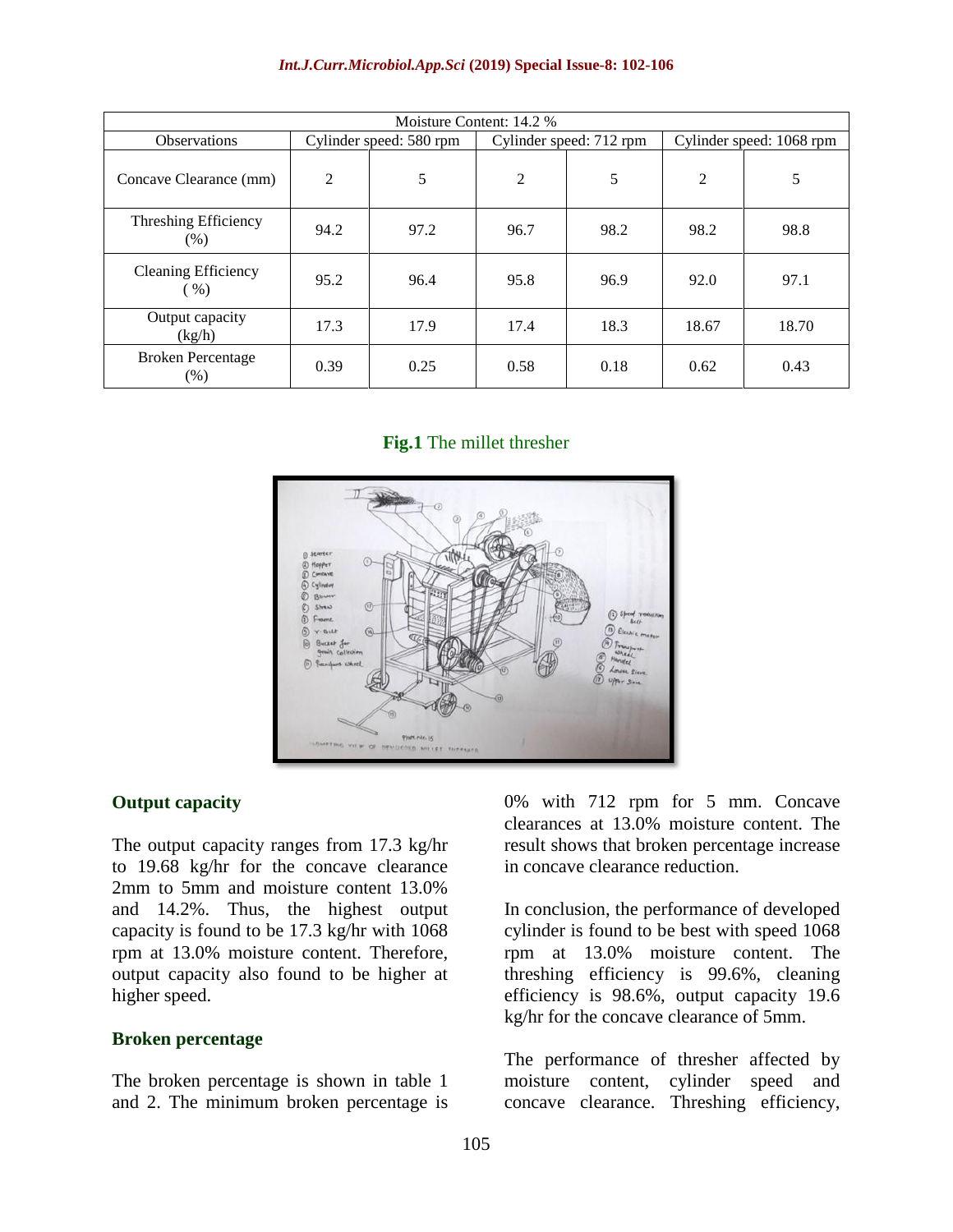#### *Int.J.Curr.Microbiol.App.Sci* **(2019) Special Issue-8: 102-106**

| Moisture Content: 14.2 %           |                         |      |                         |      |                          |       |  |  |  |  |
|------------------------------------|-------------------------|------|-------------------------|------|--------------------------|-------|--|--|--|--|
| <b>Observations</b>                | Cylinder speed: 580 rpm |      | Cylinder speed: 712 rpm |      | Cylinder speed: 1068 rpm |       |  |  |  |  |
| Concave Clearance (mm)             | $\overline{2}$          | 5    | $\overline{2}$          | 5    | $\overline{c}$           | 5     |  |  |  |  |
| Threshing Efficiency<br>$(\%)$     | 94.2                    | 97.2 | 96.7                    | 98.2 | 98.2                     | 98.8  |  |  |  |  |
| Cleaning Efficiency<br>$\%$ )      | 95.2                    | 96.4 | 95.8                    | 96.9 | 92.0                     | 97.1  |  |  |  |  |
| Output capacity<br>(kg/h)          | 17.3                    | 17.9 | 17.4                    | 18.3 | 18.67                    | 18.70 |  |  |  |  |
| <b>Broken Percentage</b><br>$(\%)$ | 0.39                    | 0.25 | 0.58                    | 0.18 | 0.62                     | 0.43  |  |  |  |  |

#### **Fig.1** The millet thresher



#### **Output capacity**

The output capacity ranges from 17.3 kg/hr to 19.68 kg/hr for the concave clearance 2mm to 5mm and moisture content 13.0% and 14.2%. Thus, the highest output capacity is found to be 17.3 kg/hr with 1068 rpm at 13.0% moisture content. Therefore, output capacity also found to be higher at higher speed.

#### **Broken percentage**

The broken percentage is shown in table 1 and 2. The minimum broken percentage is 0% with 712 rpm for 5 mm. Concave clearances at 13.0% moisture content. The result shows that broken percentage increase in concave clearance reduction.

In conclusion, the performance of developed cylinder is found to be best with speed 1068 rpm at 13.0% moisture content. The threshing efficiency is 99.6%, cleaning efficiency is 98.6%, output capacity 19.6 kg/hr for the concave clearance of 5mm.

The performance of thresher affected by moisture content, cylinder speed and concave clearance. Threshing efficiency,